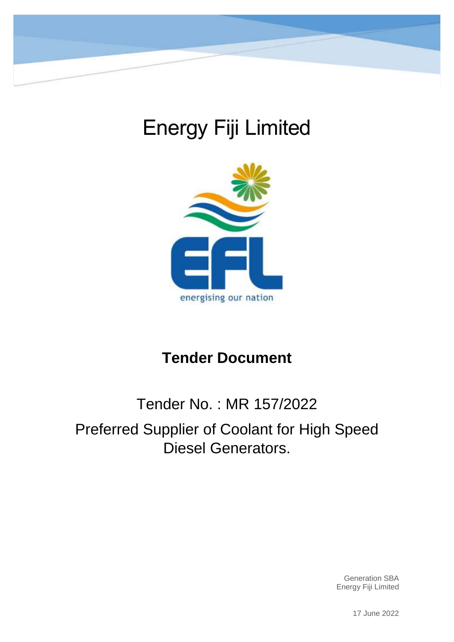

# Energy Fiji Limited



## **Tender Document**

## Tender No. : MR 157/2022 Preferred Supplier of Coolant for High Speed Diesel Generators.

Generation SBA Energy Fiji Limited

17 June 2022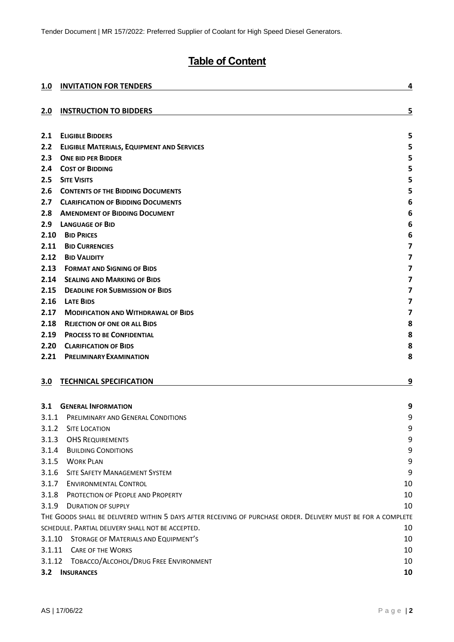## **Table of Content**

| 1.0    | <b>INVITATION FOR TENDERS</b>                                                                                 | 4                       |
|--------|---------------------------------------------------------------------------------------------------------------|-------------------------|
| 2.0    | <b>INSTRUCTION TO BIDDERS</b>                                                                                 | 5                       |
| 2.1    | <b>ELIGIBLE BIDDERS</b>                                                                                       | 5                       |
| 2.2    | <b>ELIGIBLE MATERIALS, EQUIPMENT AND SERVICES</b>                                                             | 5                       |
| 2.3    | <b>ONE BID PER BIDDER</b>                                                                                     | 5                       |
| 2.4    | <b>COST OF BIDDING</b>                                                                                        | 5                       |
| 2.5    | <b>SITE VISITS</b>                                                                                            | 5                       |
| 2.6    | <b>CONTENTS OF THE BIDDING DOCUMENTS</b>                                                                      | 5                       |
| 2.7    | <b>CLARIFICATION OF BIDDING DOCUMENTS</b>                                                                     | 6                       |
| 2.8    | <b>AMENDMENT OF BIDDING DOCUMENT</b>                                                                          | 6                       |
| 2.9    | <b>LANGUAGE OF BID</b>                                                                                        | 6                       |
| 2.10   | <b>BID PRICES</b>                                                                                             | 6                       |
| 2.11   | <b>BID CURRENCIES</b>                                                                                         | 7                       |
| 2.12   | <b>BID VALIDITY</b>                                                                                           | 7                       |
| 2.13   | <b>FORMAT AND SIGNING OF BIDS</b>                                                                             | 7                       |
| 2.14   | <b>SEALING AND MARKING OF BIDS</b>                                                                            | $\overline{\mathbf{z}}$ |
| 2.15   | <b>DEADLINE FOR SUBMISSION OF BIDS</b>                                                                        | $\overline{\mathbf{z}}$ |
| 2.16   | <b>LATE BIDS</b>                                                                                              | $\overline{\mathbf{z}}$ |
| 2.17   | <b>MODIFICATION AND WITHDRAWAL OF BIDS</b>                                                                    | 7                       |
| 2.18   | <b>REJECTION OF ONE OR ALL BIDS</b>                                                                           | 8                       |
| 2.19   | <b>PROCESS TO BE CONFIDENTIAL</b>                                                                             | 8                       |
| 2.20   | <b>CLARIFICATION OF BIDS</b>                                                                                  | 8                       |
| 2.21   | <b>PRELIMINARY EXAMINATION</b>                                                                                | 8                       |
| 3.0    | <b>TECHNICAL SPECIFICATION</b>                                                                                | 9                       |
| 3.1    | <b>GENERAL INFORMATION</b>                                                                                    | 9                       |
| 3.1.1  | PRELIMINARY AND GENERAL CONDITIONS                                                                            | 9                       |
| 3.1.2  | <b>SITE LOCATION</b>                                                                                          | 9                       |
| 3.1.3  | <b>OHS REQUIREMENTS</b>                                                                                       | 9                       |
| 3.1.4  | <b>BUILDING CONDITIONS</b>                                                                                    | 9                       |
| 3.1.5  | <b>WORK PLAN</b>                                                                                              | 9                       |
| 3.1.6  | <b>SITE SAFETY MANAGEMENT SYSTEM</b>                                                                          | 9                       |
| 3.1.7  | <b>ENVIRONMENTAL CONTROL</b>                                                                                  | 10                      |
| 3.1.8  | PROTECTION OF PEOPLE AND PROPERTY                                                                             | 10                      |
| 3.1.9  | <b>DURATION OF SUPPLY</b>                                                                                     | 10                      |
|        | THE GOODS SHALL BE DELIVERED WITHIN 5 DAYS AFTER RECEIVING OF PURCHASE ORDER. DELIVERY MUST BE FOR A COMPLETE |                         |
|        | SCHEDULE. PARTIAL DELIVERY SHALL NOT BE ACCEPTED.                                                             | 10                      |
|        | 3.1.10 STORAGE OF MATERIALS AND EQUIPMENT'S                                                                   | 10                      |
| 3.1.11 | <b>CARE OF THE WORKS</b>                                                                                      | 10                      |
| 3.1.12 | TOBACCO/ALCOHOL/DRUG FREE ENVIRONMENT                                                                         | 10                      |
| 3.2    | <b>INSURANCES</b>                                                                                             | 10                      |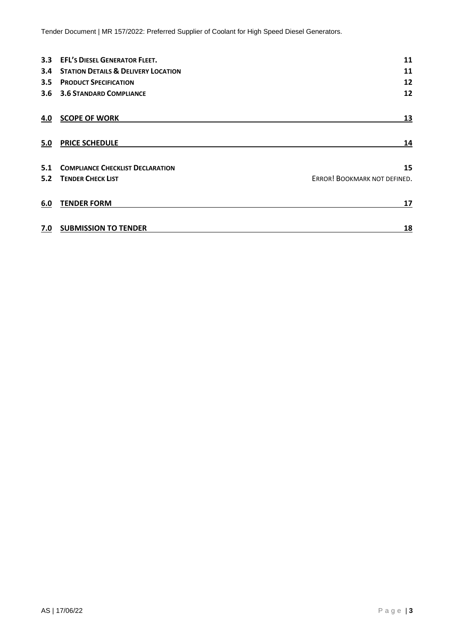Tender Document | MR 157/2022: Preferred Supplier of Coolant for High Speed Diesel Generators.

| 3.3 | <b>EFL'S DIESEL GENERATOR FLEET.</b>           | 11                           |
|-----|------------------------------------------------|------------------------------|
| 3.4 | <b>STATION DETAILS &amp; DELIVERY LOCATION</b> | 11                           |
| 3.5 | <b>PRODUCT SPECIFICATION</b>                   | 12                           |
| 3.6 | <b>3.6 STANDARD COMPLIANCE</b>                 | 12                           |
| 4.0 | <b>SCOPE OF WORK</b>                           | 13                           |
| 5.0 | <b>PRICE SCHEDULE</b>                          | 14                           |
| 5.1 | <b>COMPLIANCE CHECKLIST DECLARATION</b>        | 15                           |
| 5.2 | <b>TENDER CHECK LIST</b>                       | ERROR! BOOKMARK NOT DEFINED. |
| 6.0 | <b>TENDER FORM</b>                             | 17                           |
| 7.0 | <b>SUBMISSION TO TENDER</b>                    | 18                           |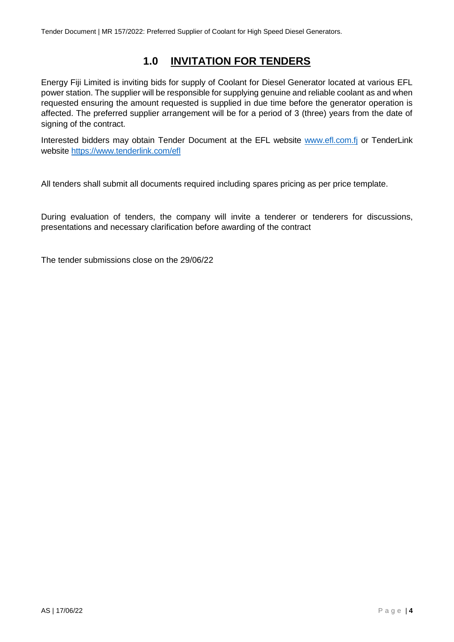## **1.0 INVITATION FOR TENDERS**

<span id="page-3-0"></span>Energy Fiji Limited is inviting bids for supply of Coolant for Diesel Generator located at various EFL power station. The supplier will be responsible for supplying genuine and reliable coolant as and when requested ensuring the amount requested is supplied in due time before the generator operation is affected. The preferred supplier arrangement will be for a period of 3 (three) years from the date of signing of the contract.

Interested bidders may obtain Tender Document at the EFL website [www.efl.com.fj](http://www.efl.com.fj/) or TenderLink website<https://www.tenderlink.com/efl>

All tenders shall submit all documents required including spares pricing as per price template.

During evaluation of tenders, the company will invite a tenderer or tenderers for discussions, presentations and necessary clarification before awarding of the contract

The tender submissions close on the 29/06/22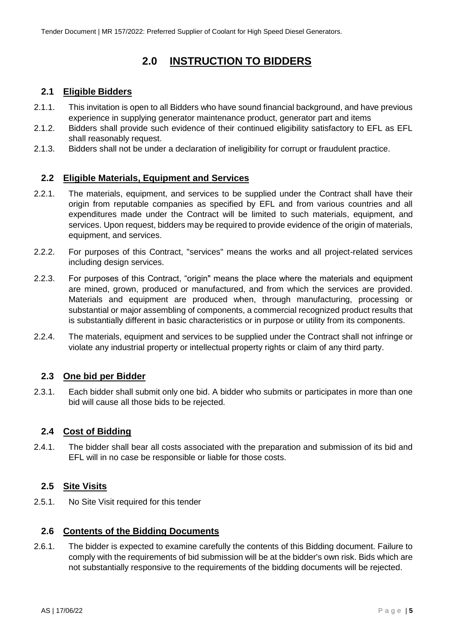## **2.0 INSTRUCTION TO BIDDERS**

#### <span id="page-4-1"></span><span id="page-4-0"></span>**2.1 Eligible Bidders**

- 2.1.1. This invitation is open to all Bidders who have sound financial background, and have previous experience in supplying generator maintenance product, generator part and items
- 2.1.2. Bidders shall provide such evidence of their continued eligibility satisfactory to EFL as EFL shall reasonably request.
- 2.1.3. Bidders shall not be under a declaration of ineligibility for corrupt or fraudulent practice.

#### <span id="page-4-2"></span>**2.2 Eligible Materials, Equipment and Services**

- 2.2.1. The materials, equipment, and services to be supplied under the Contract shall have their origin from reputable companies as specified by EFL and from various countries and all expenditures made under the Contract will be limited to such materials, equipment, and services. Upon request, bidders may be required to provide evidence of the origin of materials, equipment, and services.
- 2.2.2. For purposes of this Contract, "services" means the works and all project-related services including design services.
- 2.2.3. For purposes of this Contract, "origin" means the place where the materials and equipment are mined, grown, produced or manufactured, and from which the services are provided. Materials and equipment are produced when, through manufacturing, processing or substantial or major assembling of components, a commercial recognized product results that is substantially different in basic characteristics or in purpose or utility from its components.
- 2.2.4. The materials, equipment and services to be supplied under the Contract shall not infringe or violate any industrial property or intellectual property rights or claim of any third party.

#### <span id="page-4-3"></span>**2.3 One bid per Bidder**

2.3.1. Each bidder shall submit only one bid. A bidder who submits or participates in more than one bid will cause all those bids to be rejected.

#### <span id="page-4-4"></span>**2.4 Cost of Bidding**

2.4.1. The bidder shall bear all costs associated with the preparation and submission of its bid and EFL will in no case be responsible or liable for those costs.

#### <span id="page-4-5"></span>**2.5 Site Visits**

2.5.1. No Site Visit required for this tender

#### <span id="page-4-6"></span>**2.6 Contents of the Bidding Documents**

2.6.1. The bidder is expected to examine carefully the contents of this Bidding document. Failure to comply with the requirements of bid submission will be at the bidder's own risk. Bids which are not substantially responsive to the requirements of the bidding documents will be rejected.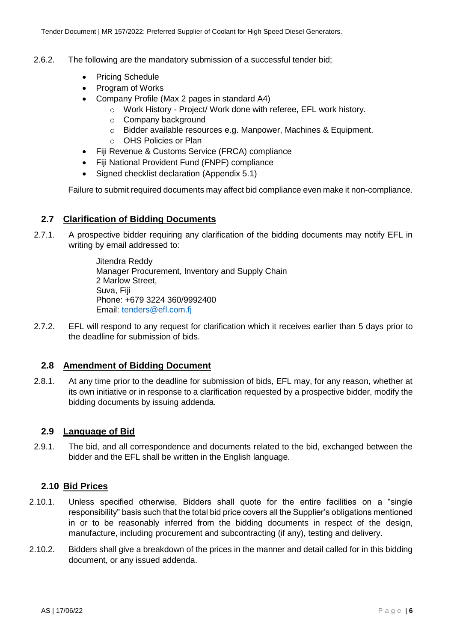- 2.6.2. The following are the mandatory submission of a successful tender bid;
	- Pricing Schedule
	- Program of Works
	- Company Profile (Max 2 pages in standard A4)
		- o Work History Project/ Work done with referee, EFL work history.
		- o Company background
		- o Bidder available resources e.g. Manpower, Machines & Equipment.
		- o OHS Policies or Plan
	- Fiji Revenue & Customs Service (FRCA) compliance
	- Fiji National Provident Fund (FNPF) compliance
	- Signed checklist declaration (Appendix 5.1)

Failure to submit required documents may affect bid compliance even make it non-compliance.

#### <span id="page-5-0"></span>**2.7 Clarification of Bidding Documents**

2.7.1. A prospective bidder requiring any clarification of the bidding documents may notify EFL in writing by email addressed to:

> Jitendra Reddy Manager Procurement, Inventory and Supply Chain 2 Marlow Street, Suva, Fiji Phone: +679 3224 360/9992400 Email: [tenders@efl.com.fj](mailto:tenders@efl.com.fj)

2.7.2. EFL will respond to any request for clarification which it receives earlier than 5 days prior to the deadline for submission of bids.

#### <span id="page-5-1"></span>**2.8 Amendment of Bidding Document**

2.8.1. At any time prior to the deadline for submission of bids, EFL may, for any reason, whether at its own initiative or in response to a clarification requested by a prospective bidder, modify the bidding documents by issuing addenda.

#### <span id="page-5-2"></span>**2.9 Language of Bid**

2.9.1. The bid, and all correspondence and documents related to the bid, exchanged between the bidder and the EFL shall be written in the English language.

#### <span id="page-5-3"></span>**2.10 Bid Prices**

- 2.10.1. Unless specified otherwise, Bidders shall quote for the entire facilities on a "single responsibility" basis such that the total bid price covers all the Supplier's obligations mentioned in or to be reasonably inferred from the bidding documents in respect of the design, manufacture, including procurement and subcontracting (if any), testing and delivery.
- 2.10.2. Bidders shall give a breakdown of the prices in the manner and detail called for in this bidding document, or any issued addenda.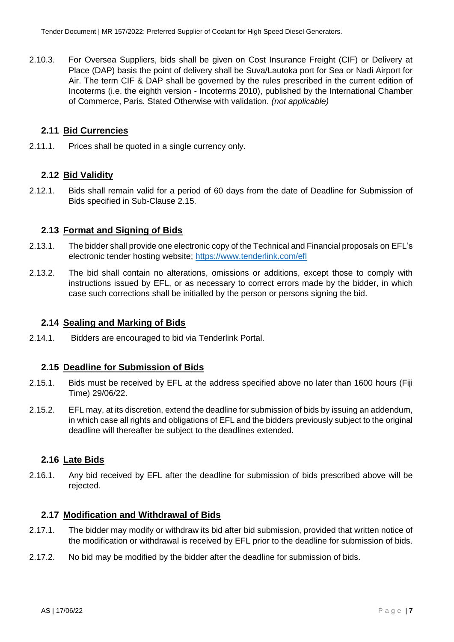2.10.3. For Oversea Suppliers, bids shall be given on Cost Insurance Freight (CIF) or Delivery at Place (DAP) basis the point of delivery shall be Suva/Lautoka port for Sea or Nadi Airport for Air. The term CIF & DAP shall be governed by the rules prescribed in the current edition of Incoterms (i.e. the eighth version - Incoterms 2010), published by the International Chamber of Commerce, Paris. Stated Otherwise with validation. *(not applicable)*

#### <span id="page-6-0"></span>**2.11 Bid Currencies**

2.11.1. Prices shall be quoted in a single currency only.

#### <span id="page-6-1"></span>**2.12 Bid Validity**

2.12.1. Bids shall remain valid for a period of 60 days from the date of Deadline for Submission of Bids specified in Sub-Clause 2.15.

#### <span id="page-6-2"></span>**2.13 Format and Signing of Bids**

- 2.13.1. The bidder shall provide one electronic copy of the Technical and Financial proposals on EFL's electronic tender hosting website; <https://www.tenderlink.com/efl>
- 2.13.2. The bid shall contain no alterations, omissions or additions, except those to comply with instructions issued by EFL, or as necessary to correct errors made by the bidder, in which case such corrections shall be initialled by the person or persons signing the bid.

#### <span id="page-6-3"></span>**2.14 Sealing and Marking of Bids**

2.14.1. Bidders are encouraged to bid via Tenderlink Portal.

#### <span id="page-6-4"></span>**2.15 Deadline for Submission of Bids**

- 2.15.1. Bids must be received by EFL at the address specified above no later than 1600 hours (Fiji Time) 29/06/22.
- 2.15.2. EFL may, at its discretion, extend the deadline for submission of bids by issuing an addendum, in which case all rights and obligations of EFL and the bidders previously subject to the original deadline will thereafter be subject to the deadlines extended.

#### <span id="page-6-5"></span>**2.16 Late Bids**

2.16.1. Any bid received by EFL after the deadline for submission of bids prescribed above will be rejected.

#### <span id="page-6-6"></span>**2.17 Modification and Withdrawal of Bids**

- 2.17.1. The bidder may modify or withdraw its bid after bid submission, provided that written notice of the modification or withdrawal is received by EFL prior to the deadline for submission of bids.
- 2.17.2. No bid may be modified by the bidder after the deadline for submission of bids.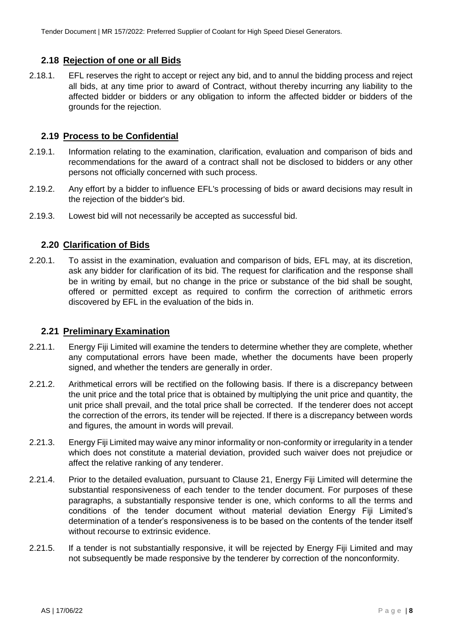#### <span id="page-7-0"></span>**2.18 Rejection of one or all Bids**

2.18.1. EFL reserves the right to accept or reject any bid, and to annul the bidding process and reject all bids, at any time prior to award of Contract, without thereby incurring any liability to the affected bidder or bidders or any obligation to inform the affected bidder or bidders of the grounds for the rejection.

#### <span id="page-7-1"></span>**2.19 Process to be Confidential**

- 2.19.1. Information relating to the examination, clarification, evaluation and comparison of bids and recommendations for the award of a contract shall not be disclosed to bidders or any other persons not officially concerned with such process.
- 2.19.2. Any effort by a bidder to influence EFL's processing of bids or award decisions may result in the rejection of the bidder's bid.
- 2.19.3. Lowest bid will not necessarily be accepted as successful bid.

#### <span id="page-7-2"></span>**2.20 Clarification of Bids**

2.20.1. To assist in the examination, evaluation and comparison of bids, EFL may, at its discretion, ask any bidder for clarification of its bid. The request for clarification and the response shall be in writing by email, but no change in the price or substance of the bid shall be sought, offered or permitted except as required to confirm the correction of arithmetic errors discovered by EFL in the evaluation of the bids in.

#### <span id="page-7-3"></span>**2.21 Preliminary Examination**

- 2.21.1. Energy Fiji Limited will examine the tenders to determine whether they are complete, whether any computational errors have been made, whether the documents have been properly signed, and whether the tenders are generally in order.
- 2.21.2. Arithmetical errors will be rectified on the following basis. If there is a discrepancy between the unit price and the total price that is obtained by multiplying the unit price and quantity, the unit price shall prevail, and the total price shall be corrected. If the tenderer does not accept the correction of the errors, its tender will be rejected. If there is a discrepancy between words and figures, the amount in words will prevail.
- 2.21.3. Energy Fiji Limited may waive any minor informality or non-conformity or irregularity in a tender which does not constitute a material deviation, provided such waiver does not prejudice or affect the relative ranking of any tenderer.
- 2.21.4. Prior to the detailed evaluation, pursuant to Clause 21, Energy Fiji Limited will determine the substantial responsiveness of each tender to the tender document. For purposes of these paragraphs, a substantially responsive tender is one, which conforms to all the terms and conditions of the tender document without material deviation Energy Fiji Limited's determination of a tender's responsiveness is to be based on the contents of the tender itself without recourse to extrinsic evidence.
- 2.21.5. If a tender is not substantially responsive, it will be rejected by Energy Fiji Limited and may not subsequently be made responsive by the tenderer by correction of the nonconformity.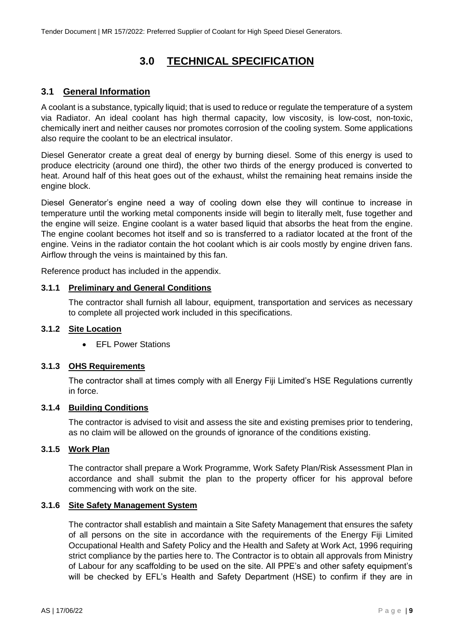## **3.0 TECHNICAL SPECIFICATION**

#### <span id="page-8-1"></span><span id="page-8-0"></span>**3.1 General Information**

A coolant is a substance, typically liquid; that is used to reduce or regulate the temperature of a system via Radiator. An ideal coolant has high thermal capacity, low viscosity, is low-cost, non-toxic, chemically inert and neither causes nor promotes corrosion of the cooling system. Some applications also require the coolant to be an electrical insulator.

Diesel Generator create a great deal of energy by burning diesel. Some of this energy is used to produce electricity (around one third), the other two thirds of the energy produced is converted to heat. Around half of this heat goes out of the exhaust, whilst the remaining heat remains inside the engine block.

Diesel Generator's engine need a way of cooling down else they will continue to increase in temperature until the working metal components inside will begin to literally melt, fuse together and the engine will seize. Engine coolant is a water based liquid that absorbs the heat from the engine. The engine coolant becomes hot itself and so is transferred to a radiator located at the front of the engine. Veins in the radiator contain the hot coolant which is air cools mostly by engine driven fans. Airflow through the veins is maintained by this fan.

Reference product has included in the appendix.

#### <span id="page-8-2"></span>**3.1.1 Preliminary and General Conditions**

The contractor shall furnish all labour, equipment, transportation and services as necessary to complete all projected work included in this specifications.

#### <span id="page-8-3"></span>**3.1.2 Site Location**

• **EFL Power Stations** 

#### <span id="page-8-4"></span>**3.1.3 OHS Requirements**

The contractor shall at times comply with all Energy Fiji Limited's HSE Regulations currently in force.

#### <span id="page-8-5"></span>**3.1.4 Building Conditions**

The contractor is advised to visit and assess the site and existing premises prior to tendering, as no claim will be allowed on the grounds of ignorance of the conditions existing.

#### <span id="page-8-6"></span>**3.1.5 Work Plan**

The contractor shall prepare a Work Programme, Work Safety Plan/Risk Assessment Plan in accordance and shall submit the plan to the property officer for his approval before commencing with work on the site.

#### <span id="page-8-7"></span>**3.1.6 Site Safety Management System**

The contractor shall establish and maintain a Site Safety Management that ensures the safety of all persons on the site in accordance with the requirements of the Energy Fiji Limited Occupational Health and Safety Policy and the Health and Safety at Work Act, 1996 requiring strict compliance by the parties here to. The Contractor is to obtain all approvals from Ministry of Labour for any scaffolding to be used on the site. All PPE's and other safety equipment's will be checked by EFL's Health and Safety Department (HSE) to confirm if they are in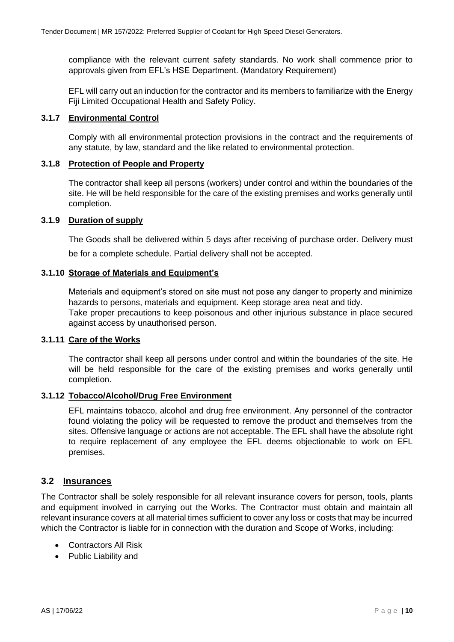compliance with the relevant current safety standards. No work shall commence prior to approvals given from EFL's HSE Department. (Mandatory Requirement)

EFL will carry out an induction for the contractor and its members to familiarize with the Energy Fiji Limited Occupational Health and Safety Policy.

#### <span id="page-9-0"></span>**3.1.7 Environmental Control**

Comply with all environmental protection provisions in the contract and the requirements of any statute, by law, standard and the like related to environmental protection.

#### <span id="page-9-1"></span>**3.1.8 Protection of People and Property**

The contractor shall keep all persons (workers) under control and within the boundaries of the site. He will be held responsible for the care of the existing premises and works generally until completion.

#### <span id="page-9-3"></span><span id="page-9-2"></span>**3.1.9 Duration of supply**

The Goods shall be delivered within 5 days after receiving of purchase order. Delivery must be for a complete schedule. Partial delivery shall not be accepted.

#### <span id="page-9-4"></span>**3.1.10 Storage of Materials and Equipment's**

Materials and equipment's stored on site must not pose any danger to property and minimize hazards to persons, materials and equipment. Keep storage area neat and tidy. Take proper precautions to keep poisonous and other injurious substance in place secured against access by unauthorised person.

#### <span id="page-9-5"></span>**3.1.11 Care of the Works**

The contractor shall keep all persons under control and within the boundaries of the site. He will be held responsible for the care of the existing premises and works generally until completion.

#### <span id="page-9-6"></span>**3.1.12 Tobacco/Alcohol/Drug Free Environment**

EFL maintains tobacco, alcohol and drug free environment. Any personnel of the contractor found violating the policy will be requested to remove the product and themselves from the sites. Offensive language or actions are not acceptable. The EFL shall have the absolute right to require replacement of any employee the EFL deems objectionable to work on EFL premises.

#### <span id="page-9-7"></span>**3.2 Insurances**

The Contractor shall be solely responsible for all relevant insurance covers for person, tools, plants and equipment involved in carrying out the Works. The Contractor must obtain and maintain all relevant insurance covers at all material times sufficient to cover any loss or costs that may be incurred which the Contractor is liable for in connection with the duration and Scope of Works, including:

- Contractors All Risk
- Public Liability and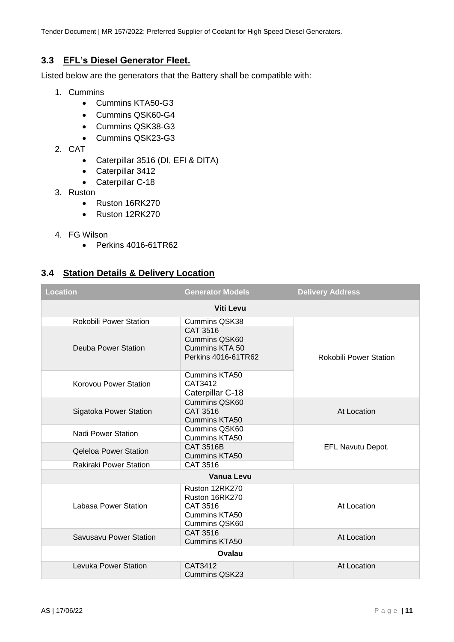Tender Document | MR 157/2022: Preferred Supplier of Coolant for High Speed Diesel Generators.

#### <span id="page-10-0"></span>**3.3 EFL's Diesel Generator Fleet.**

Listed below are the generators that the Battery shall be compatible with:

- 1. Cummins
	- Cummins KTA50-G3
	- Cummins QSK60-G4
	- Cummins QSK38-G3
	- Cummins QSK23-G3
- 2. CAT
	- Caterpillar 3516 (DI, EFI & DITA)
	- Caterpillar 3412
	- Caterpillar C-18
- 3. Ruston
	- Ruston 16RK270
	- Ruston 12RK270
- 4. FG Wilson
	- Perkins 4016-61TR62

#### <span id="page-10-1"></span>**3.4 Station Details & Delivery Location**

| <b>Location</b>               | <b>Generator Models</b>                                                        | <b>Delivery Address</b>       |  |  |
|-------------------------------|--------------------------------------------------------------------------------|-------------------------------|--|--|
| <b>Viti Levu</b>              |                                                                                |                               |  |  |
| <b>Rokobili Power Station</b> | <b>Cummins QSK38</b>                                                           |                               |  |  |
| Deuba Power Station           | <b>CAT 3516</b><br>Cummins QSK60<br>Cummins KTA 50<br>Perkins 4016-61TR62      | <b>Rokobili Power Station</b> |  |  |
| Korovou Power Station         | <b>Cummins KTA50</b><br>CAT3412<br>Caterpillar C-18                            |                               |  |  |
| Sigatoka Power Station        | <b>Cummins QSK60</b><br>CAT 3516<br><b>Cummins KTA50</b>                       | At Location                   |  |  |
| Nadi Power Station            | <b>Cummins QSK60</b><br><b>Cummins KTA50</b>                                   |                               |  |  |
| <b>Qeleloa Power Station</b>  | CAT 3516B<br>Cummins KTA50                                                     | EFL Navutu Depot.             |  |  |
| <b>Rakiraki Power Station</b> | CAT 3516                                                                       |                               |  |  |
|                               | Vanua Levu                                                                     |                               |  |  |
| Labasa Power Station          | Ruston 12RK270<br>Ruston 16RK270<br>CAT 3516<br>Cummins KTA50<br>Cummins QSK60 | At Location                   |  |  |
| Savusavu Power Station        | CAT 3516<br><b>Cummins KTA50</b>                                               | At Location                   |  |  |
| Ovalau                        |                                                                                |                               |  |  |
| Levuka Power Station          | CAT3412<br>Cummins QSK23                                                       | At Location                   |  |  |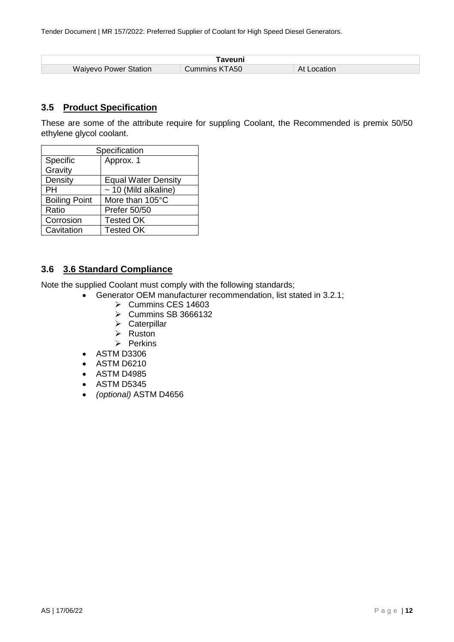| ⊺aveuni                      |               |                |  |  |
|------------------------------|---------------|----------------|--|--|
| <b>Waiyevo Power Station</b> | Cummins KTA50 | At<br>_ocation |  |  |

#### <span id="page-11-0"></span>**3.5 Product Specification**

These are some of the attribute require for suppling Coolant, the Recommended is premix 50/50 ethylene glycol coolant.

| Specification        |                            |  |
|----------------------|----------------------------|--|
| Specific             | Approx. 1                  |  |
| Gravity              |                            |  |
| Density              | <b>Equal Water Density</b> |  |
| PН                   | $\sim$ 10 (Mild alkaline)  |  |
| <b>Boiling Point</b> | More than 105°C            |  |
| Ratio                | Prefer 50/50               |  |
| Corrosion            | <b>Tested OK</b>           |  |
| Cavitation           | <b>Tested OK</b>           |  |

#### <span id="page-11-1"></span>**3.6 3.6 Standard Compliance**

Note the supplied Coolant must comply with the following standards;

- Generator OEM manufacturer recommendation, list stated in 3.2.1;
	- $\triangleright$  Cummins CES 14603
	- Cummins SB 3666132
	- $\triangleright$  Caterpillar
	- $\triangleright$  Ruston
	- $\triangleright$  Perkins
- ASTM D3306
- ASTM D6210
- ASTM D4985
- ASTM D5345
- *(optional)* ASTM D4656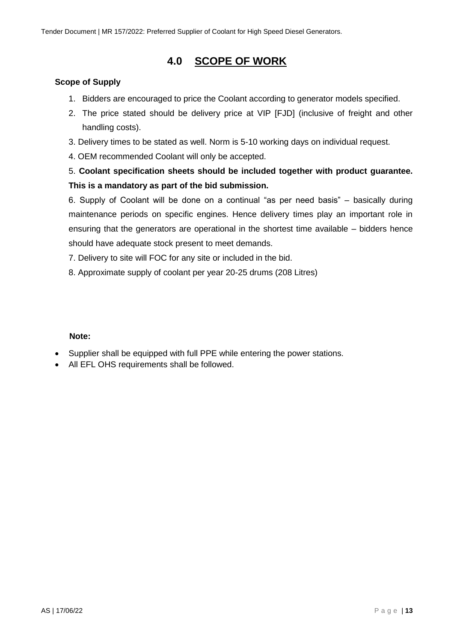## **4.0 SCOPE OF WORK**

#### <span id="page-12-0"></span>**Scope of Supply**

- 1. Bidders are encouraged to price the Coolant according to generator models specified.
- 2. The price stated should be delivery price at VIP [FJD] (inclusive of freight and other handling costs).
- 3. Delivery times to be stated as well. Norm is 5-10 working days on individual request.
- 4. OEM recommended Coolant will only be accepted.

### 5. **Coolant specification sheets should be included together with product guarantee. This is a mandatory as part of the bid submission.**

6. Supply of Coolant will be done on a continual "as per need basis" – basically during maintenance periods on specific engines. Hence delivery times play an important role in ensuring that the generators are operational in the shortest time available – bidders hence should have adequate stock present to meet demands.

7. Delivery to site will FOC for any site or included in the bid.

8. Approximate supply of coolant per year 20-25 drums (208 Litres)

#### **Note:**

- Supplier shall be equipped with full PPE while entering the power stations.
- All EFL OHS requirements shall be followed.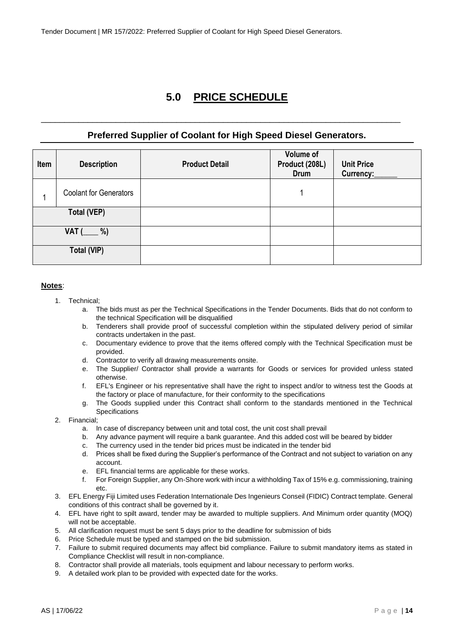## **5.0 PRICE SCHEDULE**

#### **Preferred Supplier of Coolant for High Speed Diesel Generators.**

<span id="page-13-0"></span>\_\_\_\_\_\_\_\_\_\_\_\_\_\_\_\_\_\_\_\_\_\_\_\_\_\_\_\_\_\_\_\_\_\_\_\_\_\_\_\_\_\_\_\_\_\_\_\_\_\_\_\_\_\_\_\_\_\_\_\_\_\_\_\_\_\_\_\_\_\_\_\_\_\_\_\_\_

| Item | <b>Description</b>            | <b>Product Detail</b> | Volume of<br>Product (208L)<br>Drum | <b>Unit Price</b><br>Currency: |
|------|-------------------------------|-----------------------|-------------------------------------|--------------------------------|
|      | <b>Coolant for Generators</b> |                       | 1                                   |                                |
|      | <b>Total (VEP)</b>            |                       |                                     |                                |
|      | %)<br>VAT (                   |                       |                                     |                                |
|      | <b>Total (VIP)</b>            |                       |                                     |                                |

#### **Notes**:

- 1. Technical;
	- a. The bids must as per the Technical Specifications in the Tender Documents. Bids that do not conform to the technical Specification will be disqualified
	- b. Tenderers shall provide proof of successful completion within the stipulated delivery period of similar contracts undertaken in the past.
	- c. Documentary evidence to prove that the items offered comply with the Technical Specification must be provided.
	- d. Contractor to verify all drawing measurements onsite.
	- e. The Supplier/ Contractor shall provide a warrants for Goods or services for provided unless stated otherwise.
	- f. EFL's Engineer or his representative shall have the right to inspect and/or to witness test the Goods at the factory or place of manufacture, for their conformity to the specifications
	- g. The Goods supplied under this Contract shall conform to the standards mentioned in the Technical **Specifications**
- 2. Financial;
	- a. In case of discrepancy between unit and total cost, the unit cost shall prevail
	- b. Any advance payment will require a bank guarantee. And this added cost will be beared by bidder
	- c. The currency used in the tender bid prices must be indicated in the tender bid
	- d. Prices shall be fixed during the Supplier's performance of the Contract and not subject to variation on any account.
	- e. EFL financial terms are applicable for these works.
	- f. For Foreign Supplier, any On-Shore work with incur a withholding Tax of 15% e.g. commissioning, training etc.
- 3. EFL Energy Fiji Limited uses Federation Internationale Des Ingenieurs Conseil (FIDIC) Contract template. General conditions of this contract shall be governed by it.
- 4. EFL have right to spilt award, tender may be awarded to multiple suppliers. And Minimum order quantity (MOQ) will not be acceptable.
- 5. All clarification request must be sent 5 days prior to the deadline for submission of bids
- 6. Price Schedule must be typed and stamped on the bid submission.
- 7. Failure to submit required documents may affect bid compliance. Failure to submit mandatory items as stated in Compliance Checklist will result in non-compliance.
- 8. Contractor shall provide all materials, tools equipment and labour necessary to perform works.
- 9. A detailed work plan to be provided with expected date for the works.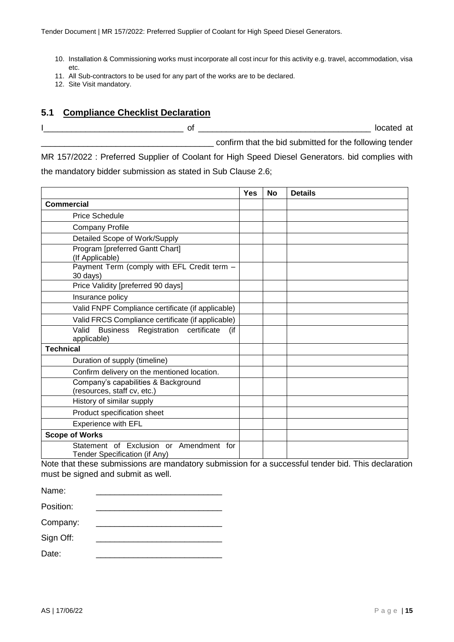- 10. Installation & Commissioning works must incorporate all cost incur for this activity e.g. travel, accommodation, visa etc.
- 11. All Sub-contractors to be used for any part of the works are to be declared.
- 12. Site Visit mandatory.

#### <span id="page-14-0"></span>**5.1 Compliance Checklist Declaration**

of the contract of the contract of  $\overline{a}$  located at confirm that the bid submitted for the following tender

MR 157/2022 : Preferred Supplier of Coolant for High Speed Diesel Generators. bid complies with the mandatory bidder submission as stated in Sub Clause 2.6;

|                                                                                                                                                                                    | Yes | No | <b>Details</b> |
|------------------------------------------------------------------------------------------------------------------------------------------------------------------------------------|-----|----|----------------|
| <b>Commercial</b>                                                                                                                                                                  |     |    |                |
| <b>Price Schedule</b>                                                                                                                                                              |     |    |                |
| <b>Company Profile</b>                                                                                                                                                             |     |    |                |
| Detailed Scope of Work/Supply                                                                                                                                                      |     |    |                |
| Program [preferred Gantt Chart]<br>(If Applicable)                                                                                                                                 |     |    |                |
| Payment Term (comply with EFL Credit term -<br>30 days)                                                                                                                            |     |    |                |
| Price Validity [preferred 90 days]                                                                                                                                                 |     |    |                |
| Insurance policy                                                                                                                                                                   |     |    |                |
| Valid FNPF Compliance certificate (if applicable)                                                                                                                                  |     |    |                |
| Valid FRCS Compliance certificate (if applicable)                                                                                                                                  |     |    |                |
| Registration<br>Valid<br><b>Business</b><br>certificate<br>(if<br>applicable)                                                                                                      |     |    |                |
| <b>Technical</b>                                                                                                                                                                   |     |    |                |
| Duration of supply (timeline)                                                                                                                                                      |     |    |                |
| Confirm delivery on the mentioned location.                                                                                                                                        |     |    |                |
| Company's capabilities & Background<br>(resources, staff cv, etc.)                                                                                                                 |     |    |                |
| History of similar supply                                                                                                                                                          |     |    |                |
| Product specification sheet                                                                                                                                                        |     |    |                |
| <b>Experience with EFL</b>                                                                                                                                                         |     |    |                |
| <b>Scope of Works</b>                                                                                                                                                              |     |    |                |
| Statement of Exclusion or Amendment for<br>Tender Specification (if Any)<br>Note that these authorizations are meandatamy automiacion for a quessesful tender hid. This deeleratio |     |    |                |

Note that these submissions are mandatory submission for a successful tender bid. This declaration must be signed and submit as well.

| Name:     |  |
|-----------|--|
| Position: |  |
| Company:  |  |
| Sign Off: |  |
| Date:     |  |
|           |  |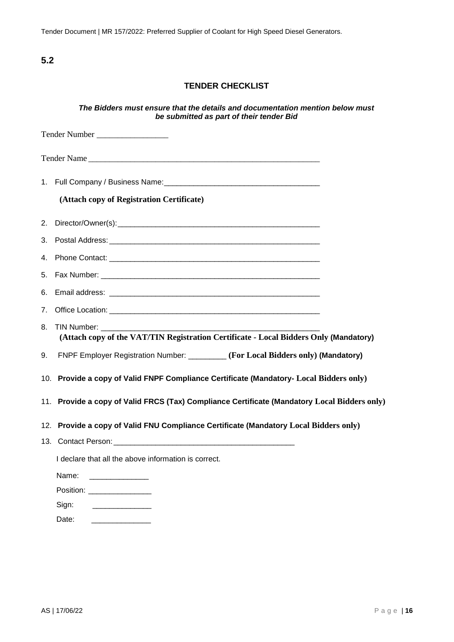Tender Document | MR 157/2022: Preferred Supplier of Coolant for High Speed Diesel Generators.

**5.2**

#### **TENDER CHECKLIST**

#### *The Bidders must ensure that the details and documentation mention below must be submitted as part of their tender Bid*

|    | Tender Number                                                                                                                                                                                                                                 |  |
|----|-----------------------------------------------------------------------------------------------------------------------------------------------------------------------------------------------------------------------------------------------|--|
|    | Tender Name                                                                                                                                                                                                                                   |  |
|    |                                                                                                                                                                                                                                               |  |
|    | (Attach copy of Registration Certificate)                                                                                                                                                                                                     |  |
|    |                                                                                                                                                                                                                                               |  |
|    |                                                                                                                                                                                                                                               |  |
|    |                                                                                                                                                                                                                                               |  |
| 5. | Fax Number: The Committee of the Committee of the Committee of the Committee of the Committee of the Committee                                                                                                                                |  |
| 6. |                                                                                                                                                                                                                                               |  |
| 7. |                                                                                                                                                                                                                                               |  |
| 8. | <b>TIN Number:</b> TIN Number:<br>(Attach copy of the VAT/TIN Registration Certificate - Local Bidders Only (Mandatory)                                                                                                                       |  |
| 9. | FNPF Employer Registration Number: ________ (For Local Bidders only) (Mandatory)                                                                                                                                                              |  |
|    | 10. Provide a copy of Valid FNPF Compliance Certificate (Mandatory- Local Bidders only)                                                                                                                                                       |  |
|    | 11. Provide a copy of Valid FRCS (Tax) Compliance Certificate (Mandatory Local Bidders only)                                                                                                                                                  |  |
|    | 12. Provide a copy of Valid FNU Compliance Certificate (Mandatory Local Bidders only)                                                                                                                                                         |  |
|    |                                                                                                                                                                                                                                               |  |
|    | I declare that all the above information is correct.                                                                                                                                                                                          |  |
|    | Name:<br><u> 1999 - Jan Barbara Barat, prima popular popular popular popular popular popular popular popular popular popula</u>                                                                                                               |  |
|    | Position: ________________                                                                                                                                                                                                                    |  |
|    | Sign:<br><b>Contract Contract Contract Contract Contract Contract Contract Contract Contract Contract Contract Contract Contract Contract Contract Contract Contract Contract Contract Contract Contract Contract Contract Contract Contr</b> |  |

Date: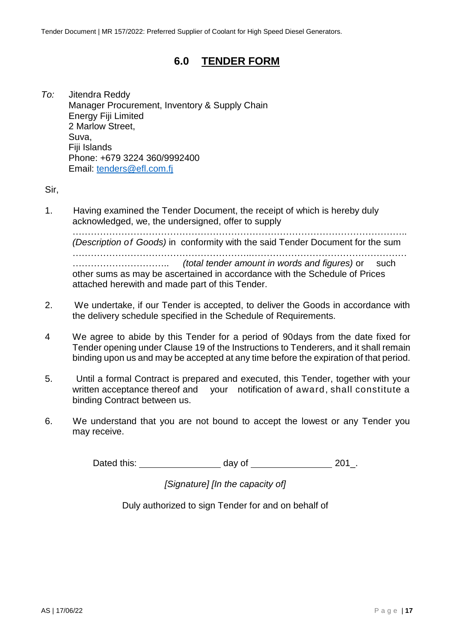### **6.0 TENDER FORM**

<span id="page-16-0"></span>*To:* Jitendra Reddy Manager Procurement, Inventory & Supply Chain Energy Fiji Limited 2 Marlow Street, Suva, Fiji Islands Phone: +679 3224 360/9992400 Email: [tenders@efl.com.fj](mailto:tenders@efl.com.fj)

Sir,

1. Having examined the Tender Document, the receipt of which is hereby duly acknowledged, we, the undersigned, offer to supply

……………………………………………………………………………………………….. *(Description of Goods)* in conformity with the said Tender Document for the sum …………………………………………………..…………………………………………… ………………………….. *(total tender amount in words and figures)* or such other sums as may be ascertained in accordance with the Schedule of Prices attached herewith and made part of this Tender.

- 2. We undertake, if our Tender is accepted, to deliver the Goods in accordance with the delivery schedule specified in the Schedule of Requirements.
- 4 We agree to abide by this Tender for a period of 90days from the date fixed for Tender opening under Clause 19 of the Instructions to Tenderers, and it shall remain binding upon us and may be accepted at any time before the expiration of that period.
- 5. Until a formal Contract is prepared and executed, this Tender, together with your written acceptance thereof and your notification of award, shall constitute a binding Contract between us.
- 6. We understand that you are not bound to accept the lowest or any Tender you may receive.

Dated this: day of 201.

*[Signature] [In the capacity of]*

Duly authorized to sign Tender for and on behalf of